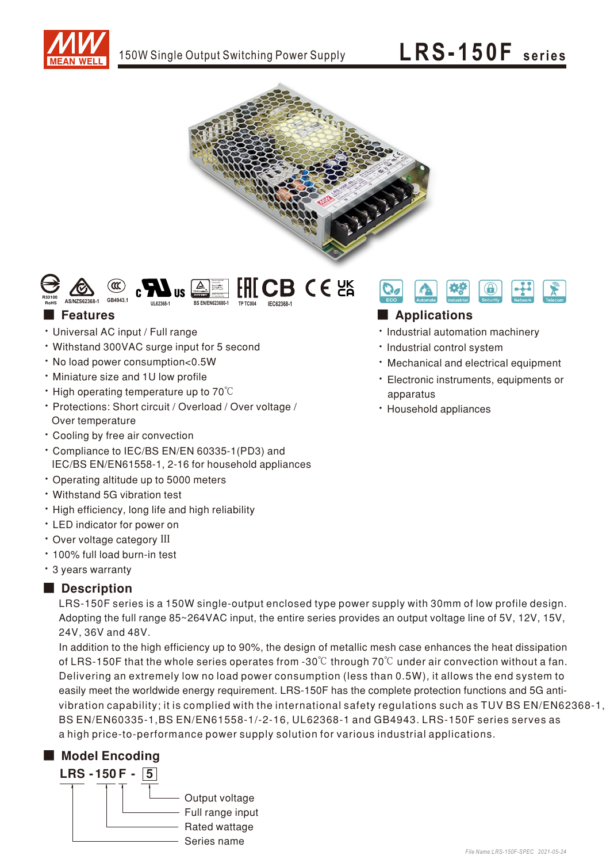





## **Features**

- · Universal AC input / Full range
- Withstand 300VAC surge input for 5 second
- . No load power consumption<0.5W
- . Miniature size and 1U low profile
- $\cdot$  High operating temperature up to 70 $\degree$ C
- · Protections: Short circuit / Overload / Over voltage / Over temperature
- Cooling by free air convection
- \* Compliance to IEC/BS EN/EN 60335-1(PD3) and IEC/BS EN/EN61558-1, 2-16 for household appliances
- Operating altitude up to 5000 meters
- Withstand 5G vibration test
- High efficiency, long life and high reliability
- LED indicator for power on
- Over voltage category III
- · 100% full load burn-in test
- \* 3 years warranty

# Description

LRS-150F series is a 150W single-output enclosed type power supply with 30mm of low profile design. Adopting the full range 85~264VAC input, the entire series provides an output voltage line of 5V, 12V, 15V, 24V, 36V and 48V.

In addition to the high efficiency up to 90%, the design of metallic mesh case enhances the heat dissipation of LRS-150F that the whole series operates from -30 $\degree$ C through 70 $\degree$ C under air convection without a fan. Delivering an extremely low no load power consumption (less than 0.5W), it allows the end system to easily meet the worldwide energy requirement. LRS-150F has the complete protection functions and 5G antivibration capability; it is complied with the international safety regulations such as TUV BS EN/EN62368-1, BS EN/EN60335-1, BS EN/EN61558-1/-2-16, UL62368-1 and GB4943. LRS-150F series serves as a high price-to-performance power supply solution for various industrial applications.

# Model Encoding





## Applications

- · Industrial automation machinery
- · Industrial control system
- · Mechanical and electrical equipment
- · Electronic instruments, equipments or apparatus
- · Household appliances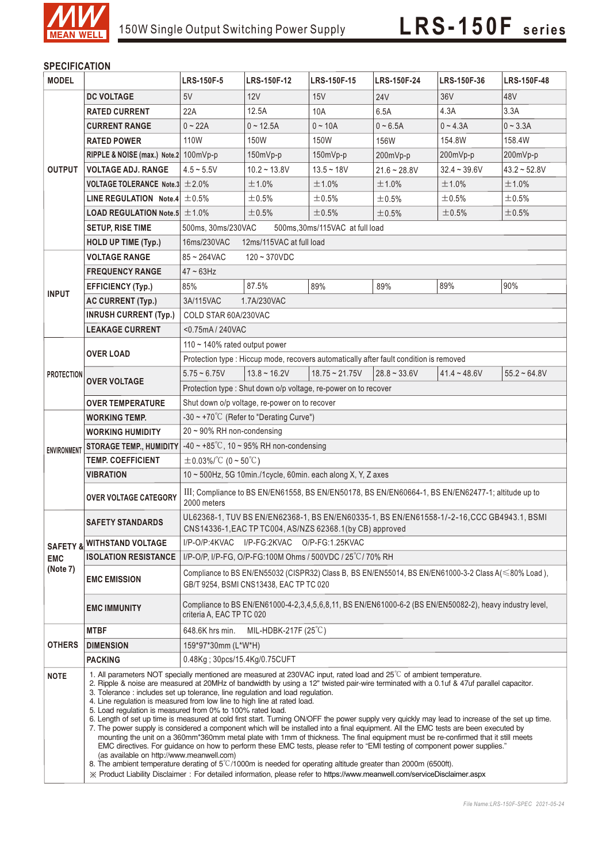

# **SPECIFICATION**

| <b>MODEL</b>        |                                                                                                                                                                                                                                                                                                                                                                                                                                                                                                                                                                                                                                                                                                                                                                                                                                                                                                                                                                                                                                                                                                                                                                                                                                                                                                                                                                         | <b>LRS-150F-5</b>                                                                                                | LRS-150F-12       | LRS-150F-15                                              | <b>LRS-150F-24</b> | LRS-150F-36    | LRS-150F-48    |  |  |
|---------------------|-------------------------------------------------------------------------------------------------------------------------------------------------------------------------------------------------------------------------------------------------------------------------------------------------------------------------------------------------------------------------------------------------------------------------------------------------------------------------------------------------------------------------------------------------------------------------------------------------------------------------------------------------------------------------------------------------------------------------------------------------------------------------------------------------------------------------------------------------------------------------------------------------------------------------------------------------------------------------------------------------------------------------------------------------------------------------------------------------------------------------------------------------------------------------------------------------------------------------------------------------------------------------------------------------------------------------------------------------------------------------|------------------------------------------------------------------------------------------------------------------|-------------------|----------------------------------------------------------|--------------------|----------------|----------------|--|--|
|                     | <b>DC VOLTAGE</b>                                                                                                                                                                                                                                                                                                                                                                                                                                                                                                                                                                                                                                                                                                                                                                                                                                                                                                                                                                                                                                                                                                                                                                                                                                                                                                                                                       | 5V                                                                                                               | 12V               | 15V                                                      | <b>24V</b>         | 36V            | 48V            |  |  |
|                     | <b>RATED CURRENT</b>                                                                                                                                                                                                                                                                                                                                                                                                                                                                                                                                                                                                                                                                                                                                                                                                                                                                                                                                                                                                                                                                                                                                                                                                                                                                                                                                                    | 22A                                                                                                              | 12.5A             | 10A                                                      | 6.5A               | 4.3A           | 3.3A           |  |  |
|                     | <b>CURRENT RANGE</b>                                                                                                                                                                                                                                                                                                                                                                                                                                                                                                                                                                                                                                                                                                                                                                                                                                                                                                                                                                                                                                                                                                                                                                                                                                                                                                                                                    | $0 - 22A$                                                                                                        | $0 - 12.5A$       | $0 - 10A$                                                | $0 - 6.5A$         | $0 - 4.3A$     | $0 - 3.3A$     |  |  |
|                     | <b>RATED POWER</b>                                                                                                                                                                                                                                                                                                                                                                                                                                                                                                                                                                                                                                                                                                                                                                                                                                                                                                                                                                                                                                                                                                                                                                                                                                                                                                                                                      | 110W                                                                                                             | 150W              | 150W                                                     | 156W               | 154.8W         | 158.4W         |  |  |
|                     | RIPPLE & NOISE (max.) Note.2 100mVp-p                                                                                                                                                                                                                                                                                                                                                                                                                                                                                                                                                                                                                                                                                                                                                                                                                                                                                                                                                                                                                                                                                                                                                                                                                                                                                                                                   |                                                                                                                  | 150mVp-p          | 150mVp-p                                                 | 200mVp-p           | 200mVp-p       | 200mVp-p       |  |  |
| <b>OUTPUT</b>       | <b>VOLTAGE ADJ. RANGE</b>                                                                                                                                                                                                                                                                                                                                                                                                                                                                                                                                                                                                                                                                                                                                                                                                                                                                                                                                                                                                                                                                                                                                                                                                                                                                                                                                               | $4.5 \sim 5.5V$                                                                                                  | $10.2 - 13.8V$    | $13.5 - 18V$                                             | $21.6 - 28.8V$     | $32.4 - 39.6V$ | $43.2 - 52.8V$ |  |  |
|                     | <b>VOLTAGE TOLERANCE Note.3 <math>\pm 2.0\%</math></b>                                                                                                                                                                                                                                                                                                                                                                                                                                                                                                                                                                                                                                                                                                                                                                                                                                                                                                                                                                                                                                                                                                                                                                                                                                                                                                                  |                                                                                                                  | ±1.0%             | ±1.0%                                                    | ±1.0%              | ±1.0%          | ±1.0%          |  |  |
|                     | <b>LINE REGULATION</b> Note.4 $\pm$ 0.5%                                                                                                                                                                                                                                                                                                                                                                                                                                                                                                                                                                                                                                                                                                                                                                                                                                                                                                                                                                                                                                                                                                                                                                                                                                                                                                                                |                                                                                                                  | $\pm 0.5\%$       | ±0.5%                                                    | ±0.5%              | ±0.5%          | $\pm 0.5\%$    |  |  |
|                     | <b>LOAD REGULATION Note.5 <math>\pm</math> 1.0%</b>                                                                                                                                                                                                                                                                                                                                                                                                                                                                                                                                                                                                                                                                                                                                                                                                                                                                                                                                                                                                                                                                                                                                                                                                                                                                                                                     |                                                                                                                  | ±0.5%             | ±0.5%                                                    | ±0.5%              | ±0.5%          | $\pm 0.5\%$    |  |  |
|                     | <b>SETUP, RISE TIME</b>                                                                                                                                                                                                                                                                                                                                                                                                                                                                                                                                                                                                                                                                                                                                                                                                                                                                                                                                                                                                                                                                                                                                                                                                                                                                                                                                                 | 500ms, 30ms/230VAC<br>500ms, 30ms/115VAC at full load                                                            |                   |                                                          |                    |                |                |  |  |
|                     | <b>HOLD UP TIME (Typ.)</b>                                                                                                                                                                                                                                                                                                                                                                                                                                                                                                                                                                                                                                                                                                                                                                                                                                                                                                                                                                                                                                                                                                                                                                                                                                                                                                                                              | 12ms/115VAC at full load<br>16ms/230VAC                                                                          |                   |                                                          |                    |                |                |  |  |
|                     | <b>VOLTAGE RANGE</b>                                                                                                                                                                                                                                                                                                                                                                                                                                                                                                                                                                                                                                                                                                                                                                                                                                                                                                                                                                                                                                                                                                                                                                                                                                                                                                                                                    | 85~264VAC<br>$120 - 370VDC$                                                                                      |                   |                                                          |                    |                |                |  |  |
|                     | <b>FREQUENCY RANGE</b>                                                                                                                                                                                                                                                                                                                                                                                                                                                                                                                                                                                                                                                                                                                                                                                                                                                                                                                                                                                                                                                                                                                                                                                                                                                                                                                                                  | $47 - 63$ Hz                                                                                                     |                   |                                                          |                    |                |                |  |  |
|                     | <b>EFFICIENCY (Typ.)</b>                                                                                                                                                                                                                                                                                                                                                                                                                                                                                                                                                                                                                                                                                                                                                                                                                                                                                                                                                                                                                                                                                                                                                                                                                                                                                                                                                | 85%                                                                                                              | 87.5%             | 89%                                                      | 89%                | 89%            | 90%            |  |  |
| <b>INPUT</b>        | <b>AC CURRENT (Typ.)</b>                                                                                                                                                                                                                                                                                                                                                                                                                                                                                                                                                                                                                                                                                                                                                                                                                                                                                                                                                                                                                                                                                                                                                                                                                                                                                                                                                | 3A/115VAC                                                                                                        | 1.7A/230VAC       |                                                          |                    |                |                |  |  |
|                     | <b>INRUSH CURRENT (Typ.)</b>                                                                                                                                                                                                                                                                                                                                                                                                                                                                                                                                                                                                                                                                                                                                                                                                                                                                                                                                                                                                                                                                                                                                                                                                                                                                                                                                            | COLD STAR 60A/230VAC                                                                                             |                   |                                                          |                    |                |                |  |  |
|                     | <b>LEAKAGE CURRENT</b>                                                                                                                                                                                                                                                                                                                                                                                                                                                                                                                                                                                                                                                                                                                                                                                                                                                                                                                                                                                                                                                                                                                                                                                                                                                                                                                                                  | <0.75mA/240VAC                                                                                                   |                   |                                                          |                    |                |                |  |  |
|                     |                                                                                                                                                                                                                                                                                                                                                                                                                                                                                                                                                                                                                                                                                                                                                                                                                                                                                                                                                                                                                                                                                                                                                                                                                                                                                                                                                                         | 110 $\sim$ 140% rated output power                                                                               |                   |                                                          |                    |                |                |  |  |
| <b>PROTECTION</b>   | <b>OVER LOAD</b>                                                                                                                                                                                                                                                                                                                                                                                                                                                                                                                                                                                                                                                                                                                                                                                                                                                                                                                                                                                                                                                                                                                                                                                                                                                                                                                                                        | Protection type : Hiccup mode, recovers automatically after fault condition is removed                           |                   |                                                          |                    |                |                |  |  |
|                     | <b>OVER VOLTAGE</b>                                                                                                                                                                                                                                                                                                                                                                                                                                                                                                                                                                                                                                                                                                                                                                                                                                                                                                                                                                                                                                                                                                                                                                                                                                                                                                                                                     | $5.75 - 6.75V$                                                                                                   | $13.8 \sim 16.2V$ | $18.75 \approx 21.75V$                                   | $28.8 - 33.6V$     | $41.4 - 48.6V$ | $55.2 - 64.8V$ |  |  |
|                     |                                                                                                                                                                                                                                                                                                                                                                                                                                                                                                                                                                                                                                                                                                                                                                                                                                                                                                                                                                                                                                                                                                                                                                                                                                                                                                                                                                         |                                                                                                                  |                   |                                                          |                    |                |                |  |  |
|                     | <b>OVER TEMPERATURE</b>                                                                                                                                                                                                                                                                                                                                                                                                                                                                                                                                                                                                                                                                                                                                                                                                                                                                                                                                                                                                                                                                                                                                                                                                                                                                                                                                                 | Protection type : Shut down o/p voltage, re-power on to recover<br>Shut down o/p voltage, re-power on to recover |                   |                                                          |                    |                |                |  |  |
|                     | <b>WORKING TEMP.</b>                                                                                                                                                                                                                                                                                                                                                                                                                                                                                                                                                                                                                                                                                                                                                                                                                                                                                                                                                                                                                                                                                                                                                                                                                                                                                                                                                    | $-30 \sim +70^{\circ}$ (Refer to "Derating Curve")                                                               |                   |                                                          |                    |                |                |  |  |
|                     | <b>WORKING HUMIDITY</b>                                                                                                                                                                                                                                                                                                                                                                                                                                                                                                                                                                                                                                                                                                                                                                                                                                                                                                                                                                                                                                                                                                                                                                                                                                                                                                                                                 | $20 \sim 90\%$ RH non-condensing                                                                                 |                   |                                                          |                    |                |                |  |  |
|                     | <b>STORAGE TEMP., HUMIDITY</b>                                                                                                                                                                                                                                                                                                                                                                                                                                                                                                                                                                                                                                                                                                                                                                                                                                                                                                                                                                                                                                                                                                                                                                                                                                                                                                                                          | -40 ~ +85°C, 10 ~ 95% RH non-condensing                                                                          |                   |                                                          |                    |                |                |  |  |
| <b>ENVIRONMENT</b>  | <b>TEMP. COEFFICIENT</b>                                                                                                                                                                                                                                                                                                                                                                                                                                                                                                                                                                                                                                                                                                                                                                                                                                                                                                                                                                                                                                                                                                                                                                                                                                                                                                                                                | $\pm$ 0.03%/°C (0 ~ 50°C)                                                                                        |                   |                                                          |                    |                |                |  |  |
|                     | <b>VIBRATION</b>                                                                                                                                                                                                                                                                                                                                                                                                                                                                                                                                                                                                                                                                                                                                                                                                                                                                                                                                                                                                                                                                                                                                                                                                                                                                                                                                                        | 10 ~ 500Hz, 5G 10min./1cycle, 60min. each along X, Y, Z axes                                                     |                   |                                                          |                    |                |                |  |  |
|                     |                                                                                                                                                                                                                                                                                                                                                                                                                                                                                                                                                                                                                                                                                                                                                                                                                                                                                                                                                                                                                                                                                                                                                                                                                                                                                                                                                                         |                                                                                                                  |                   |                                                          |                    |                |                |  |  |
|                     | III; Compliance to BS EN/EN61558, BS EN/EN50178, BS EN/EN60664-1, BS EN/EN62477-1; altitude up to<br><b>OVER VOLTAGE CATEGORY</b><br>2000 meters                                                                                                                                                                                                                                                                                                                                                                                                                                                                                                                                                                                                                                                                                                                                                                                                                                                                                                                                                                                                                                                                                                                                                                                                                        |                                                                                                                  |                   |                                                          |                    |                |                |  |  |
|                     |                                                                                                                                                                                                                                                                                                                                                                                                                                                                                                                                                                                                                                                                                                                                                                                                                                                                                                                                                                                                                                                                                                                                                                                                                                                                                                                                                                         | UL62368-1, TUV BS EN/EN62368-1, BS EN/EN60335-1, BS EN/EN61558-1/-2-16, CCC GB4943.1, BSMI                       |                   |                                                          |                    |                |                |  |  |
|                     | <b>SAFETY STANDARDS</b>                                                                                                                                                                                                                                                                                                                                                                                                                                                                                                                                                                                                                                                                                                                                                                                                                                                                                                                                                                                                                                                                                                                                                                                                                                                                                                                                                 |                                                                                                                  |                   | CNS14336-1, EAC TP TC004, AS/NZS 62368.1(by CB) approved |                    |                |                |  |  |
| <b>SAFETY &amp;</b> | <b>WITHSTAND VOLTAGE</b>                                                                                                                                                                                                                                                                                                                                                                                                                                                                                                                                                                                                                                                                                                                                                                                                                                                                                                                                                                                                                                                                                                                                                                                                                                                                                                                                                | I/P-O/P:4KVAC I/P-FG:2KVAC O/P-FG:1.25KVAC                                                                       |                   |                                                          |                    |                |                |  |  |
| <b>EMC</b>          | <b>ISOLATION RESISTANCE</b>                                                                                                                                                                                                                                                                                                                                                                                                                                                                                                                                                                                                                                                                                                                                                                                                                                                                                                                                                                                                                                                                                                                                                                                                                                                                                                                                             | I/P-O/P, I/P-FG, O/P-FG:100M Ohms / 500VDC / 25°C/70% RH                                                         |                   |                                                          |                    |                |                |  |  |
| (Note 7)            | <b>EMC EMISSION</b>                                                                                                                                                                                                                                                                                                                                                                                                                                                                                                                                                                                                                                                                                                                                                                                                                                                                                                                                                                                                                                                                                                                                                                                                                                                                                                                                                     | Compliance to BS EN/EN55032 (CISPR32) Class B, BS EN/EN55014, BS EN/EN61000-3-2 Class A( <80% Load ),            |                   |                                                          |                    |                |                |  |  |
|                     |                                                                                                                                                                                                                                                                                                                                                                                                                                                                                                                                                                                                                                                                                                                                                                                                                                                                                                                                                                                                                                                                                                                                                                                                                                                                                                                                                                         | GB/T 9254, BSMI CNS13438, EAC TP TC 020                                                                          |                   |                                                          |                    |                |                |  |  |
|                     | <b>EMC IMMUNITY</b>                                                                                                                                                                                                                                                                                                                                                                                                                                                                                                                                                                                                                                                                                                                                                                                                                                                                                                                                                                                                                                                                                                                                                                                                                                                                                                                                                     | Compliance to BS EN/EN61000-4-2,3,4,5,6,8,11, BS EN/EN61000-6-2 (BS EN/EN50082-2), heavy industry level,         |                   |                                                          |                    |                |                |  |  |
|                     |                                                                                                                                                                                                                                                                                                                                                                                                                                                                                                                                                                                                                                                                                                                                                                                                                                                                                                                                                                                                                                                                                                                                                                                                                                                                                                                                                                         | criteria A, EAC TP TC 020                                                                                        |                   |                                                          |                    |                |                |  |  |
| <b>OTHERS</b>       | <b>MTBF</b>                                                                                                                                                                                                                                                                                                                                                                                                                                                                                                                                                                                                                                                                                                                                                                                                                                                                                                                                                                                                                                                                                                                                                                                                                                                                                                                                                             | MIL-HDBK-217F $(25^{\circ}C)$<br>648.6K hrs min.                                                                 |                   |                                                          |                    |                |                |  |  |
|                     | <b>DIMENSION</b>                                                                                                                                                                                                                                                                                                                                                                                                                                                                                                                                                                                                                                                                                                                                                                                                                                                                                                                                                                                                                                                                                                                                                                                                                                                                                                                                                        | 159*97*30mm (L*W*H)                                                                                              |                   |                                                          |                    |                |                |  |  |
|                     | <b>PACKING</b>                                                                                                                                                                                                                                                                                                                                                                                                                                                                                                                                                                                                                                                                                                                                                                                                                                                                                                                                                                                                                                                                                                                                                                                                                                                                                                                                                          | 0.48Kg; 30pcs/15.4Kg/0.75CUFT                                                                                    |                   |                                                          |                    |                |                |  |  |
| <b>NOTE</b>         | 1. All parameters NOT specially mentioned are measured at 230VAC input, rated load and $25^{\circ}$ of ambient temperature.<br>2. Ripple & noise are measured at 20MHz of bandwidth by using a 12" twisted pair-wire terminated with a 0.1uf & 47uf parallel capacitor.<br>3. Tolerance: includes set up tolerance, line regulation and load regulation.<br>4. Line regulation is measured from low line to high line at rated load.<br>5. Load regulation is measured from 0% to 100% rated load.<br>6. Length of set up time is measured at cold first start. Turning ON/OFF the power supply very quickly may lead to increase of the set up time.<br>7. The power supply is considered a component which will be installed into a final equipment. All the EMC tests are been executed by<br>mounting the unit on a 360mm*360mm metal plate with 1mm of thickness. The final equipment must be re-confirmed that it still meets<br>EMC directives. For guidance on how to perform these EMC tests, please refer to "EMI testing of component power supplies."<br>(as available on http://www.meanwell.com)<br>8. The ambient temperature derating of $5^{\circ}$ C/1000m is needed for operating altitude greater than 2000m (6500ft).<br>X Product Liability Disclaimer: For detailed information, please refer to https://www.meanwell.com/serviceDisclaimer.aspx |                                                                                                                  |                   |                                                          |                    |                |                |  |  |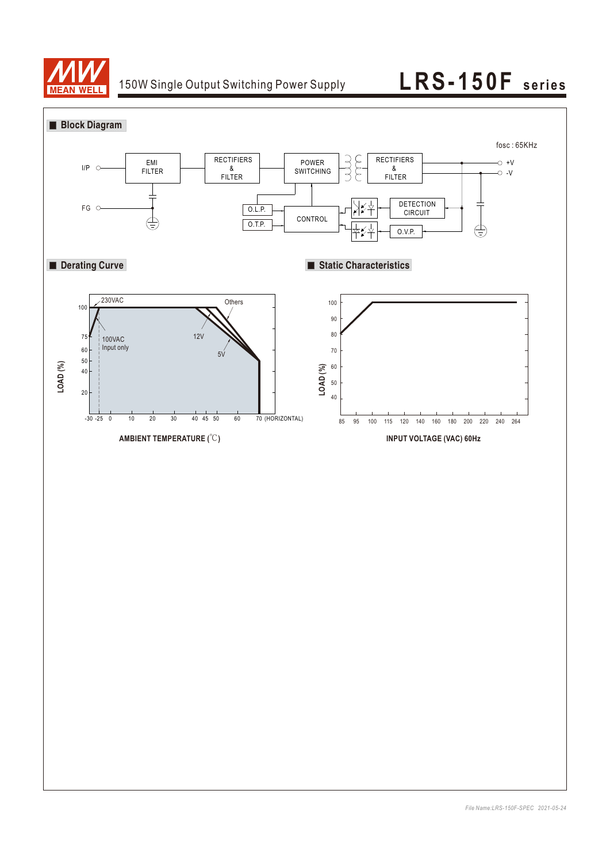

# 150W Single Output Switching Power Supply **LRS-150F** series